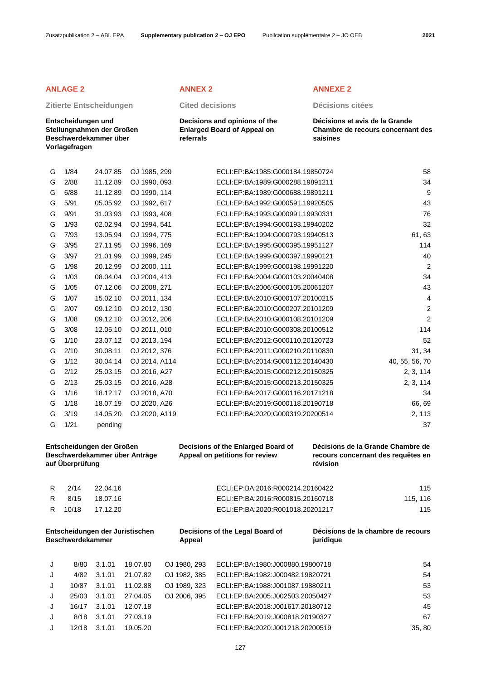# **Zitierte Entscheidungen Cited decisions Décisions citées**

**Entscheidungen und Stellungnahmen der Großen Beschwerdekammer über Vorlagefragen**

**Decisions and opinions of the Enlarged Board of Appeal on referrals**

## **ANLAGE 2 ANNEX 2 ANNEXE 2**

**Décisions et avis de la Grande Chambre de recours concernant des saisines**

| J      | 12/18                   | 3.1.01                          | 19.05.20                      |              | ECLI:EP:BA:2020:J001218.20200519                                     |           | 35, 80                             |
|--------|-------------------------|---------------------------------|-------------------------------|--------------|----------------------------------------------------------------------|-----------|------------------------------------|
| J      | 8/18                    | 3.1.01                          | 27.03.19                      |              | ECLI:EP:BA:2019:J000818.20190327                                     |           | 67                                 |
| J      | 16/17                   | 3.1.01                          | 12.07.18                      |              | ECLI:EP:BA:2018:J001617.20180712                                     |           | 45                                 |
| J      | 25/03                   | 3.1.01                          | 27.04.05                      | OJ 2006, 395 | ECLI:EP:BA:2005:J002503.20050427                                     |           | 53                                 |
| J      | 10/87                   | 3.1.01                          | 11.02.88                      | OJ 1989, 323 | ECLI:EP:BA:1988:J001087.19880211                                     |           | 53                                 |
| J      | 4/82                    | 3.1.01                          | 21.07.82                      | OJ 1982, 385 | ECLI:EP:BA:1982:J000482.19820721                                     |           | 54                                 |
| J      | 8/80                    | 3.1.01                          | 18.07.80                      | OJ 1980, 293 | ECLI:EP:BA:1980:J000880.19800718                                     |           | 54                                 |
|        |                         |                                 |                               |              |                                                                      |           |                                    |
|        | <b>Beschwerdekammer</b> | Entscheidungen der Juristischen |                               | Appeal       | Decisions of the Legal Board of                                      | juridique | Décisions de la chambre de recours |
| R      | 10/18                   | 17.12.20                        |                               |              | ECLI:EP:BA:2020:R001018.20201217                                     |           | 115                                |
| R      | 8/15                    | 18.07.16                        |                               |              | ECLI:EP:BA:2016:R000815.20160718                                     |           | 115, 116                           |
| R      | 2/14                    | 22.04.16                        |                               |              | ECLI:EP:BA:2016:R000214.20160422                                     |           | 115                                |
|        | auf Überprüfung         |                                 |                               |              | Appeal on petitions for review                                       | révision  | recours concernant des requêtes en |
|        |                         | Entscheidungen der Großen       | Beschwerdekammer über Anträge |              | Decisions of the Enlarged Board of                                   |           | Décisions de la Grande Chambre de  |
| G      | 1/21                    | pending                         |                               |              |                                                                      |           | 37                                 |
| G      | 3/19                    | 14.05.20                        | OJ 2020, A119                 |              | ECLI:EP:BA:2020:G000319.20200514                                     |           | 2, 113                             |
| G      | 1/18                    | 18.07.19                        | OJ 2020, A26                  |              | ECLI:EP:BA:2019:G000118.20190718                                     |           | 66, 69                             |
| G      | 1/16                    | 18.12.17                        | OJ 2018, A70                  |              | ECLI:EP:BA:2017:G000116.20171218                                     |           | 34                                 |
| G      | 2/13                    | 25.03.15                        | OJ 2016, A28                  |              | ECLI:EP:BA:2015:G000213.20150325                                     |           | 2, 3, 114                          |
| G<br>G | 1/12<br>2/12            | 30.04.14<br>25.03.15            | OJ 2014, A114<br>OJ 2016, A27 |              | ECLI:EP:BA:2015:G000212.20150325                                     |           | 40, 55, 56, 70<br>2, 3, 114        |
| G      | 2/10                    | 30.08.11                        | OJ 2012, 376                  |              | ECLI:EP:BA:2011:G000210.20110830<br>ECLI:EP:BA:2014:G000112.20140430 |           | 31, 34                             |
| G      | 1/10                    | 23.07.12                        | OJ 2013, 194                  |              | ECLI:EP:BA:2012:G000110.20120723                                     |           | 52                                 |
| G      | 3/08                    | 12.05.10                        | OJ 2011, 010                  |              | ECLI:EP:BA:2010:G000308.20100512                                     |           | 114                                |
| G      | 1/08                    | 09.12.10                        | OJ 2012, 206                  |              | ECLI:EP:BA:2010:G000108.20101209                                     |           | $\overline{2}$                     |
| G      | 2/07                    | 09.12.10                        | OJ 2012, 130                  |              | ECLI:EP:BA:2010:G000207.20101209                                     |           | $\overline{2}$                     |
| G      | 1/07                    | 15.02.10                        | OJ 2011, 134                  |              | ECLI:EP:BA:2010:G000107.20100215                                     |           | 4                                  |
| G      | 1/05                    | 07.12.06                        | OJ 2008, 271                  |              | ECLI:EP:BA:2006:G000105.20061207                                     |           | 43                                 |
| G      | 1/03                    | 08.04.04                        | OJ 2004, 413                  |              | ECLI:EP:BA:2004:G000103.20040408                                     |           | 34                                 |
| G      | 1/98                    | 20.12.99                        | OJ 2000, 111                  |              | ECLI:EP:BA:1999:G000198.19991220                                     |           | $\overline{2}$                     |
| G      | 3/97                    | 21.01.99                        | OJ 1999, 245                  |              | ECLI:EP:BA:1999:G000397.19990121                                     |           | 40                                 |
| G      | 3/95                    | 27.11.95                        | OJ 1996, 169                  |              | ECLI:EP:BA:1995:G000395.19951127                                     |           | 114                                |
| G      | 7/93                    | 13.05.94                        | OJ 1994, 775                  |              | ECLI:EP:BA:1994:G000793.19940513                                     |           | 61,63                              |
| G      | 1/93                    | 02.02.94                        | OJ 1994, 541                  |              | ECLI:EP:BA:1994:G000193.19940202                                     |           | 32                                 |
| G      | 9/91                    | 31.03.93                        | OJ 1993, 408                  |              | ECLI:EP:BA:1993:G000991.19930331                                     |           | 76                                 |
| G      | 5/91                    | 05.05.92                        | OJ 1992, 617                  |              | ECLI:EP:BA:1992:G000591.19920505                                     |           | 43                                 |
| G      | 6/88                    | 11.12.89                        | OJ 1990, 114                  |              | ECLI:EP:BA:1989:G000688.19891211                                     |           | 9                                  |
| G      | 2/88                    | 11.12.89                        | OJ 1990, 093                  |              | ECLI:EP:BA:1989:G000288.19891211                                     |           | 34                                 |
| G      | 1/84                    | 24.07.85                        | OJ 1985, 299                  |              | ECLI:EP:BA:1985:G000184.19850724                                     |           | 58                                 |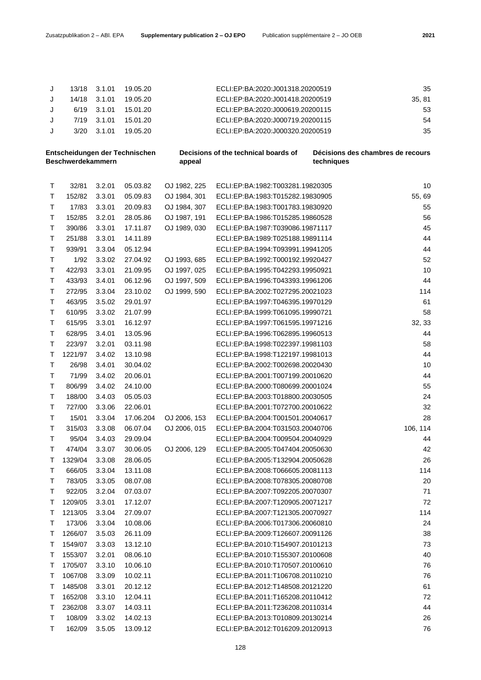|  | 13/18 3.1.01    | 19.05.20   | ECLI:EP:BA:2020:J001318.20200519 | 35    |
|--|-----------------|------------|----------------------------------|-------|
|  | 14/18 3.1.01    | 19.05.20   | ECLI:EP:BA:2020:J001418.20200519 | 35.81 |
|  | 6/19 3.1.01     | 15.01.20   | ECLI:EP:BA:2020:J000619.20200115 | 53    |
|  | 7/19 3.1.01     | - 15.01.20 | ECLI:EP:BA:2020:J000719.20200115 | 54    |
|  | $3/20$ $3.1.01$ | 19.05.20   | ECLI:EP:BA:2020:J000320.20200519 | 35    |
|  |                 |            |                                  |       |

| Entscheidungen der Technischen<br>Beschwerdekammern |         |        |           | appeal       | Decisions of the technical boards of | Décisions des chambres de recours<br>techniques |  |
|-----------------------------------------------------|---------|--------|-----------|--------------|--------------------------------------|-------------------------------------------------|--|
| Т                                                   | 32/81   | 3.2.01 | 05.03.82  | OJ 1982, 225 | ECLI:EP:BA:1982:T003281.19820305     | 10                                              |  |
| Τ                                                   | 152/82  | 3.3.01 | 05.09.83  | OJ 1984, 301 | ECLI:EP:BA:1983:T015282.19830905     | 55,69                                           |  |
| Τ                                                   | 17/83   | 3.3.01 | 20.09.83  | OJ 1984, 307 | ECLI:EP:BA:1983:T001783.19830920     | 55                                              |  |
| T                                                   | 152/85  | 3.2.01 | 28.05.86  | OJ 1987, 191 | ECLI:EP:BA:1986:T015285.19860528     | 56                                              |  |
| Τ                                                   | 390/86  | 3.3.01 | 17.11.87  | OJ 1989, 030 | ECLI:EP:BA:1987:T039086.19871117     | 45                                              |  |
| Τ                                                   | 251/88  | 3.3.01 | 14.11.89  |              | ECLI:EP:BA:1989:T025188.19891114     | 44                                              |  |
| Τ                                                   | 939/91  | 3.3.04 | 05.12.94  |              | ECLI:EP:BA:1994:T093991.19941205     | 44                                              |  |
| Τ                                                   | 1/92    | 3.3.02 | 27.04.92  | OJ 1993, 685 | ECLI:EP:BA:1992:T000192.19920427     | 52                                              |  |
| Τ                                                   | 422/93  | 3.3.01 | 21.09.95  | OJ 1997, 025 | ECLI:EP:BA:1995:T042293.19950921     | 10                                              |  |
| Τ                                                   | 433/93  | 3.4.01 | 06.12.96  | OJ 1997, 509 | ECLI:EP:BA:1996:T043393.19961206     | 44                                              |  |
| Τ                                                   | 272/95  | 3.3.04 | 23.10.02  | OJ 1999, 590 | ECLI:EP:BA:2002:T027295.20021023     | 114                                             |  |
| Τ                                                   | 463/95  | 3.5.02 | 29.01.97  |              | ECLI:EP:BA:1997:T046395.19970129     | 61                                              |  |
| Т                                                   | 610/95  | 3.3.02 | 21.07.99  |              | ECLI:EP:BA:1999:T061095.19990721     | 58                                              |  |
| Τ                                                   | 615/95  | 3.3.01 | 16.12.97  |              | ECLI:EP:BA:1997:T061595.19971216     | 32, 33                                          |  |
| Τ                                                   | 628/95  | 3.4.01 | 13.05.96  |              | ECLI:EP:BA:1996:T062895.19960513     | 44                                              |  |
| Τ                                                   | 223/97  | 3.2.01 | 03.11.98  |              | ECLI:EP:BA:1998:T022397.19981103     | 58                                              |  |
| Т                                                   | 1221/97 | 3.4.02 | 13.10.98  |              | ECLI:EP:BA:1998:T122197.19981013     | 44                                              |  |
| T                                                   | 26/98   | 3.4.01 | 30.04.02  |              | ECLI:EP:BA:2002:T002698.20020430     | 10                                              |  |
| Τ                                                   | 71/99   | 3.4.02 | 20.06.01  |              | ECLI:EP:BA:2001:T007199.20010620     | 44                                              |  |
| Τ                                                   | 806/99  | 3.4.02 | 24.10.00  |              | ECLI:EP:BA:2000:T080699.20001024     | 55                                              |  |
| T                                                   | 188/00  | 3.4.03 | 05.05.03  |              | ECLI:EP:BA:2003:T018800.20030505     | 24                                              |  |
| Τ                                                   | 727/00  | 3.3.06 | 22.06.01  |              | ECLI:EP:BA:2001:T072700.20010622     | 32                                              |  |
| Τ                                                   | 15/01   | 3.3.04 | 17.06.204 | OJ 2006, 153 | ECLI:EP:BA:2004:T001501.20040617     | 28                                              |  |
| Τ                                                   | 315/03  | 3.3.08 | 06.07.04  | OJ 2006, 015 | ECLI:EP:BA:2004:T031503.20040706     | 106, 114                                        |  |
| Τ                                                   | 95/04   | 3.4.03 | 29.09.04  |              | ECLI:EP:BA:2004:T009504.20040929     | 44                                              |  |
| Τ                                                   | 474/04  | 3.3.07 | 30.06.05  | OJ 2006, 129 | ECLI:EP:BA:2005:T047404.20050630     | 42                                              |  |
| Τ                                                   | 1329/04 | 3.3.08 | 28.06.05  |              | ECLI:EP:BA:2005:T132904.20050628     | 26                                              |  |
| Τ                                                   | 666/05  | 3.3.04 | 13.11.08  |              | ECLI:EP:BA:2008:T066605.20081113     | 114                                             |  |
| Τ                                                   | 783/05  | 3.3.05 | 08.07.08  |              | ECLI:EP:BA:2008:T078305.20080708     | 20                                              |  |
| т                                                   | 922/05  | 3.2.04 | 07.03.07  |              | ECLI:EP:BA:2007:T092205.20070307     | 71                                              |  |
| Т                                                   | 1209/05 | 3.3.01 | 17.12.07  |              | ECLI:EP:BA:2007:T120905.20071217     | 72                                              |  |
| Τ                                                   | 1213/05 | 3.3.04 | 27.09.07  |              | ECLI:EP:BA:2007:T121305.20070927     | 114                                             |  |
| т                                                   | 173/06  | 3.3.04 | 10.08.06  |              | ECLI:EP:BA:2006:T017306.20060810     | 24                                              |  |
| т                                                   | 1266/07 | 3.5.03 | 26.11.09  |              | ECLI:EP:BA:2009:T126607.20091126     | 38                                              |  |
| Т                                                   | 1549/07 | 3.3.03 | 13.12.10  |              | ECLI:EP:BA:2010:T154907.20101213     | 73                                              |  |
| Τ                                                   | 1553/07 | 3.2.01 | 08.06.10  |              | ECLI:EP:BA:2010:T155307.20100608     | 40                                              |  |
| т                                                   | 1705/07 | 3.3.10 | 10.06.10  |              | ECLI:EP:BA:2010:T170507.20100610     | 76                                              |  |
| т                                                   | 1067/08 | 3.3.09 | 10.02.11  |              | ECLI:EP:BA:2011:T106708.20110210     | 76                                              |  |
| Т                                                   | 1485/08 | 3.3.01 | 20.12.12  |              | ECLI:EP:BA:2012:T148508.20121220     | 61                                              |  |
| Т                                                   | 1652/08 | 3.3.10 | 12.04.11  |              | ECLI:EP:BA:2011:T165208.20110412     | 72                                              |  |
| Т                                                   | 2362/08 | 3.3.07 | 14.03.11  |              | ECLI:EP:BA:2011:T236208.20110314     | 44                                              |  |
| т                                                   | 108/09  | 3.3.02 | 14.02.13  |              | ECLI:EP:BA:2013:T010809.20130214     | 26                                              |  |
| Т                                                   | 162/09  | 3.5.05 | 13.09.12  |              | ECLI:EP:BA:2012:T016209.20120913     | 76                                              |  |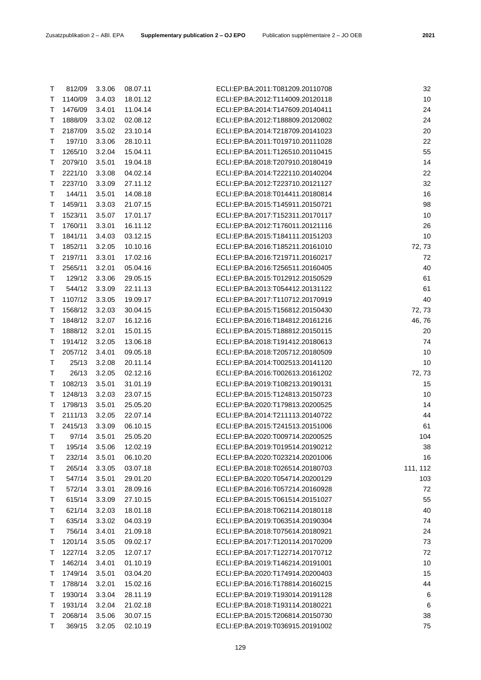| Τ      | 812/09             | 3.3.06           | 08.07.11             | ECLI:EP:BA:2011:T081209.20110708 | 32       |
|--------|--------------------|------------------|----------------------|----------------------------------|----------|
| Т      | 1140/09            | 3.4.03           | 18.01.12             | ECLI:EP:BA:2012:T114009.20120118 | $10$     |
| T      | 1476/09            | 3.4.01           | 11.04.14             | ECLI:EP:BA:2014:T147609.20140411 | 24       |
| Т      | 1888/09            | 3.3.02           | 02.08.12             | ECLI:EP:BA:2012:T188809.20120802 | 24       |
| Т      | 2187/09            | 3.5.02           | 23.10.14             | ECLI:EP:BA:2014:T218709.20141023 | 20       |
| Т      | 197/10             | 3.3.06           | 28.10.11             | ECLI:EP:BA:2011:T019710.20111028 | 22       |
| Т      | 1265/10            | 3.2.04           | 15.04.11             | ECLI:EP:BA:2011:T126510.20110415 | 55       |
| т      | 2079/10            | 3.5.01           | 19.04.18             | ECLI:EP:BA:2018:T207910.20180419 | 14       |
| Т      | 2221/10            | 3.3.08           | 04.02.14             | ECLI:EP:BA:2014:T222110.20140204 | 22       |
| т      | 2237/10            | 3.3.09           | 27.11.12             | ECLI:EP:BA:2012:T223710.20121127 | 32       |
| Т      | 144/11             | 3.5.01           | 14.08.18             | ECLI:EP:BA:2018:T014411.20180814 | 16       |
| Т      | 1459/11            | 3.3.03           | 21.07.15             | ECLI:EP:BA:2015:T145911.20150721 | 98       |
| Т      | 1523/11            | 3.5.07           | 17.01.17             | ECLI:EP:BA:2017:T152311.20170117 | $10$     |
| Τ      | 1760/11            | 3.3.01           | 16.11.12             | ECLI:EP:BA:2012:T176011.20121116 | 26       |
| Τ      | 1841/11            | 3.4.03           | 03.12.15             | ECLI:EP:BA:2015:T184111.20151203 | 10       |
| Т      | 1852/11            | 3.2.05           | 10.10.16             | ECLI:EP:BA:2016:T185211.20161010 | 72, 73   |
| т      | 2197/11            | 3.3.01           | 17.02.16             | ECLI:EP:BA:2016:T219711.20160217 | 72       |
| Τ      | 2565/11            | 3.2.01           | 05.04.16             | ECLI:EP:BA:2016:T256511.20160405 | 40       |
| Τ      | 129/12             | 3.3.06           | 29.05.15             | ECLI:EP:BA:2015:T012912.20150529 | 61       |
| Т      | 544/12             | 3.3.09           | 22.11.13             | ECLI:EP:BA:2013:T054412.20131122 | 61       |
| т      | 1107/12            | 3.3.05           | 19.09.17             | ECLI:EP:BA:2017:T110712.20170919 | 40       |
| Т      | 1568/12            | 3.2.03           | 30.04.15             | ECLI:EP:BA:2015:T156812.20150430 | 72, 73   |
| Τ      | 1848/12            | 3.2.07           | 16.12.16             | ECLI:EP:BA:2016:T184812.20161216 | 46,76    |
| Т      | 1888/12            | 3.2.01           | 15.01.15             | ECLI:EP:BA:2015:T188812.20150115 | 20       |
| T      | 1914/12            | 3.2.05           | 13.06.18             | ECLI:EP:BA:2018:T191412.20180613 | 74       |
| Τ      | 2057/12            | 3.4.01           | 09.05.18             | ECLI:EP:BA:2018:T205712.20180509 | 10       |
| Τ      | 25/13              | 3.2.08           | 20.11.14             | ECLI:EP:BA:2014:T002513.20141120 | 10       |
| Τ      | 26/13              | 3.2.05           | 02.12.16             | ECLI:EP:BA:2016:T002613.20161202 | 72, 73   |
| Т      | 1082/13            | 3.5.01           | 31.01.19             | ECLI:EP:BA:2019:T108213.20190131 | 15       |
| Т      | 1248/13            | 3.2.03           | 23.07.15             | ECLI:EP:BA:2015:T124813.20150723 | $10$     |
| Т      | 1798/13            | 3.5.01           | 25.05.20             | ECLI:EP:BA:2020:T179813.20200525 | 14       |
| Т      | 2111/13            | 3.2.05           | 22.07.14             | ECLI:EP:BA:2014:T211113.20140722 | 44       |
| Т      | 2415/13            | 3.3.09           | 06.10.15             | ECLI:EP:BA:2015:T241513.20151006 | 61       |
| T      | 97/14              | 3.5.01           | 25.05.20             | ECLI:EP:BA:2020:T009714.20200525 | 104      |
| $\top$ | 195/14 3.5.06      |                  | 12.02.19             | ECLI:EP:BA:2019:T019514.20190212 | 38       |
| Т      | 232/14             | 3.5.01           | 06.10.20             | ECLI:EP:BA:2020:T023214.20201006 | 16       |
| Т      | 265/14             | 3.3.05           | 03.07.18             | ECLI:EP:BA:2018:T026514.20180703 | 111, 112 |
| Т      | 547/14             | 3.5.01           | 29.01.20             | ECLI:EP:BA:2020:T054714.20200129 | 103      |
| т      | 572/14             | 3.3.01           | 28.09.16             | ECLI:EP:BA:2016:T057214.20160928 | 72       |
| Τ      | 615/14             | 3.3.09           | 27.10.15             | ECLI:EP:BA:2015:T061514.20151027 | 55       |
| Т      | 621/14             | 3.2.03           | 18.01.18             | ECLI:EP:BA:2018:T062114.20180118 | 40       |
| Т      | 635/14             | 3.3.02           | 04.03.19             | ECLI:EP:BA:2019:T063514.20190304 | 74       |
| Τ      | 756/14             | 3.4.01           | 21.09.18             | ECLI:EP:BA:2018:T075614.20180921 | 24       |
| т      | 1201/14            | 3.5.05           | 09.02.17             | ECLI:EP:BA:2017:T120114.20170209 | 73       |
| т      | 1227/14            | 3.2.05           | 12.07.17             | ECLI:EP:BA:2017:T122714.20170712 | 72       |
| т      | 1462/14            | 3.4.01           | 01.10.19             | ECLI:EP:BA:2019:T146214.20191001 | 10       |
|        |                    |                  |                      | ECLI:EP:BA:2020:T174914.20200403 | 15       |
| Т<br>т | 1749/14<br>1788/14 | 3.5.01<br>3.2.01 | 03.04.20<br>15.02.16 | ECLI:EP:BA:2016:T178814.20160215 | 44       |
| т      | 1930/14            |                  | 28.11.19             | ECLI:EP:BA:2019:T193014.20191128 |          |
| Т      | 1931/14            | 3.3.04<br>3.2.04 | 21.02.18             | ECLI:EP:BA:2018:T193114.20180221 | 6<br>6   |
|        |                    |                  |                      | ECLI:EP:BA:2015:T206814.20150730 |          |
| Т      | 2068/14            | 3.5.06           | 30.07.15             |                                  | 38       |
| Т      | 369/15             | 3.2.05           | 02.10.19             | ECLI:EP:BA:2019:T036915.20191002 | 75       |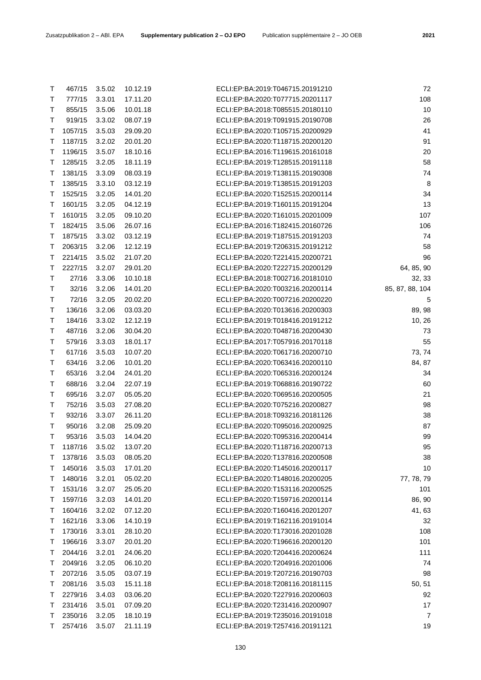| Τ | 467/15  | 3.5.02 | 10.12.19 | ECLI:EP:BA:2019:T046715.20191210 | 72              |
|---|---------|--------|----------|----------------------------------|-----------------|
| Т | 777/15  | 3.3.01 | 17.11.20 | ECLI:EP:BA:2020:T077715.20201117 | 108             |
| Т | 855/15  | 3.5.06 | 10.01.18 | ECLI:EP:BA:2018:T085515.20180110 | 10              |
| Т | 919/15  | 3.3.02 | 08.07.19 | ECLI:EP:BA:2019:T091915.20190708 | 26              |
| Τ | 1057/15 | 3.5.03 | 29.09.20 | ECLI:EP:BA:2020:T105715.20200929 | 41              |
| T | 1187/15 | 3.2.02 | 20.01.20 | ECLI:EP:BA:2020:T118715.20200120 | 91              |
| T | 1196/15 | 3.5.07 | 18.10.16 | ECLI:EP:BA:2016:T119615.20161018 | 20              |
| T | 1285/15 | 3.2.05 | 18.11.19 | ECLI:EP:BA:2019:T128515.20191118 | 58              |
| Τ | 1381/15 | 3.3.09 | 08.03.19 | ECLI:EP:BA:2019:T138115.20190308 | 74              |
| Τ | 1385/15 | 3.3.10 | 03.12.19 | ECLI:EP:BA:2019:T138515.20191203 | 8               |
| T | 1525/15 | 3.2.05 | 14.01.20 | ECLI:EP:BA:2020:T152515.20200114 | 34              |
| Т | 1601/15 | 3.2.05 | 04.12.19 | ECLI:EP:BA:2019:T160115.20191204 | 13              |
| T | 1610/15 | 3.2.05 | 09.10.20 | ECLI:EP:BA:2020:T161015.20201009 | 107             |
| Τ | 1824/15 | 3.5.06 | 26.07.16 | ECLI:EP:BA:2016:T182415.20160726 | 106             |
| Τ | 1875/15 | 3.3.02 | 03.12.19 | ECLI:EP:BA:2019:T187515.20191203 | 74              |
| Τ | 2063/15 | 3.2.06 | 12.12.19 | ECLI:EP:BA:2019:T206315.20191212 | 58              |
| Т | 2214/15 | 3.5.02 | 21.07.20 | ECLI:EP:BA:2020:T221415.20200721 | 96              |
| Т | 2227/15 | 3.2.07 | 29.01.20 | ECLI:EP:BA:2020:T222715.20200129 | 64, 85, 90      |
| Τ | 27/16   | 3.3.06 | 10.10.18 | ECLI:EP:BA:2018:T002716.20181010 | 32, 33          |
| Τ | 32/16   | 3.2.06 | 14.01.20 | ECLI:EP:BA:2020:T003216.20200114 | 85, 87, 88, 104 |
| Т | 72/16   | 3.2.05 | 20.02.20 | ECLI:EP:BA:2020:T007216.20200220 | 5               |
| Τ | 136/16  | 3.2.06 | 03.03.20 | ECLI:EP:BA:2020:T013616.20200303 | 89, 98          |
| Т | 184/16  | 3.3.02 | 12.12.19 | ECLI:EP:BA:2019:T018416.20191212 | 10, 26          |
| Τ | 487/16  | 3.2.06 | 30.04.20 | ECLI:EP:BA:2020:T048716.20200430 | 73              |
| Т | 579/16  | 3.3.03 | 18.01.17 | ECLI:EP:BA:2017:T057916.20170118 | 55              |
| Τ | 617/16  | 3.5.03 | 10.07.20 | ECLI:EP:BA:2020:T061716.20200710 | 73, 74          |
| Τ | 634/16  | 3.2.06 | 10.01.20 | ECLI:EP:BA:2020:T063416.20200110 | 84, 87          |
| Τ | 653/16  | 3.2.04 | 24.01.20 | ECLI:EP:BA:2020:T065316.20200124 | 34              |
| Τ | 688/16  | 3.2.04 | 22.07.19 | ECLI:EP:BA:2019:T068816.20190722 | 60              |
| Τ | 695/16  | 3.2.07 | 05.05.20 | ECLI:EP:BA:2020:T069516.20200505 | 21              |
| Т | 752/16  | 3.5.03 | 27.08.20 | ECLI:EP:BA:2020:T075216.20200827 | 98              |
| Τ | 932/16  | 3.3.07 | 26.11.20 | ECLI:EP:BA:2018:T093216.20181126 | 38              |
| Τ | 950/16  | 3.2.08 | 25.09.20 | ECLI:EP:BA:2020:T095016.20200925 | 87              |
| Т | 953/16  | 3.5.03 | 14.04.20 | ECLI:EP:BA:2020:T095316.20200414 | 99              |
| т | 1187/16 | 3.5.02 | 13.07.20 | ECLI:EP:BA:2020:T118716.20200713 | 95              |
| T | 1378/16 | 3.5.03 | 08.05.20 | ECLI:EP:BA:2020:T137816.20200508 | 38              |
| т | 1450/16 | 3.5.03 | 17.01.20 | ECLI:EP:BA:2020:T145016.20200117 | 10              |
| Τ | 1480/16 | 3.2.01 | 05.02.20 | ECLI:EP:BA:2020:T148016.20200205 | 77, 78, 79      |
| Τ | 1531/16 | 3.2.07 | 25.05.20 | ECLI:EP:BA:2020:T153116.20200525 | 101             |
| Т | 1597/16 | 3.2.03 | 14.01.20 | ECLI:EP:BA:2020:T159716.20200114 | 86, 90          |
| Τ | 1604/16 | 3.2.02 | 07.12.20 | ECLI:EP:BA:2020:T160416.20201207 | 41, 63          |
| T | 1621/16 | 3.3.06 | 14.10.19 | ECLI:EP:BA:2019:T162116.20191014 | 32              |
| Τ | 1730/16 | 3.3.01 | 28.10.20 | ECLI:EP:BA:2020:T173016.20201028 | 108             |
| Τ | 1966/16 | 3.3.07 | 20.01.20 | ECLI:EP:BA:2020:T196616.20200120 | 101             |
| Т | 2044/16 | 3.2.01 | 24.06.20 | ECLI:EP:BA:2020:T204416.20200624 | 111             |
| Τ | 2049/16 | 3.2.05 | 06.10.20 | ECLI:EP:BA:2020:T204916.20201006 | 74              |
| Т | 2072/16 | 3.5.05 | 03.07.19 | ECLI:EP:BA:2019:T207216.20190703 | 98              |
| Τ | 2081/16 | 3.5.03 | 15.11.18 | ECLI:EP:BA:2018:T208116.20181115 |                 |
| т | 2279/16 | 3.4.03 | 03.06.20 | ECLI:EP:BA:2020:T227916.20200603 | 50, 51<br>92    |
| Τ | 2314/16 | 3.5.01 | 07.09.20 | ECLI:EP:BA:2020:T231416.20200907 | 17              |
| Т | 2350/16 | 3.2.05 | 18.10.19 | ECLI:EP:BA:2019:T235016.20191018 | $\overline{7}$  |
| Τ | 2574/16 |        |          |                                  | 19              |
|   |         | 3.5.07 | 21.11.19 | ECLI:EP:BA:2019:T257416.20191121 |                 |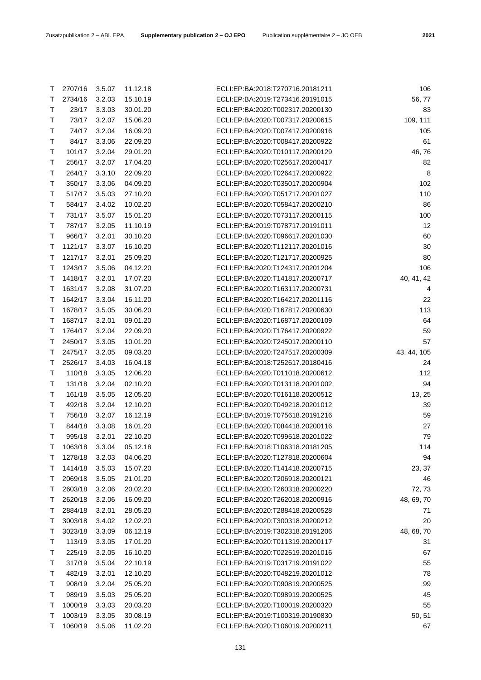| ۰.<br>w |
|---------|
|---------|

| Т | 2707/16          | 3.5.07 | 11.12.18 | ECLI:EP:BA:2018:T270716.20181211 | 106         |
|---|------------------|--------|----------|----------------------------------|-------------|
| Т | 2734/16          | 3.2.03 | 15.10.19 | ECLI:EP:BA:2019:T273416.20191015 | 56,77       |
| Τ | 23/17            | 3.3.03 | 30.01.20 | ECLI:EP:BA:2020:T002317.20200130 | 83          |
| Т | 73/17            | 3.2.07 | 15.06.20 | ECLI:EP:BA:2020:T007317.20200615 | 109, 111    |
| Т | 74/17            | 3.2.04 | 16.09.20 | ECLI:EP:BA:2020:T007417.20200916 | 105         |
| Т | 84/17            | 3.3.06 | 22.09.20 | ECLI:EP:BA:2020:T008417.20200922 | 61          |
| Т | 101/17           | 3.2.04 | 29.01.20 | ECLI:EP:BA:2020:T010117.20200129 | 46,76       |
| Т | 256/17           | 3.2.07 | 17.04.20 | ECLI:EP:BA:2020:T025617.20200417 | 82          |
| Τ | 264/17           | 3.3.10 | 22.09.20 | ECLI:EP:BA:2020:T026417.20200922 | 8           |
| Т | 350/17           | 3.3.06 | 04.09.20 | ECLI:EP:BA:2020:T035017.20200904 | 102         |
| Т | 517/17           | 3.5.03 | 27.10.20 | ECLI:EP:BA:2020:T051717.20201027 | 110         |
| Τ | 584/17           | 3.4.02 | 10.02.20 | ECLI:EP:BA:2020:T058417.20200210 | 86          |
| Т | 731/17           | 3.5.07 | 15.01.20 | ECLI:EP:BA:2020:T073117.20200115 | 100         |
| Τ | 787/17           | 3.2.05 | 11.10.19 | ECLI:EP:BA:2019:T078717.20191011 | 12          |
| Τ | 966/17           | 3.2.01 | 30.10.20 | ECLI:EP:BA:2020:T096617.20201030 | 60          |
| Т | 1121/17          | 3.3.07 | 16.10.20 | ECLI:EP:BA:2020:T112117.20201016 | 30          |
| Т | 1217/17          | 3.2.01 | 25.09.20 | ECLI:EP:BA:2020:T121717.20200925 | 80          |
| т | 1243/17          | 3.5.06 | 04.12.20 | ECLI:EP:BA:2020:T124317.20201204 | 106         |
| т | 1418/17          | 3.2.01 | 17.07.20 | ECLI:EP:BA:2020:T141817.20200717 | 40, 41, 42  |
| Т | 1631/17          | 3.2.08 | 31.07.20 | ECLI:EP:BA:2020:T163117.20200731 | 4           |
| т | 1642/17          | 3.3.04 | 16.11.20 | ECLI:EP:BA:2020:T164217.20201116 | 22          |
| Т | 1678/17          | 3.5.05 | 30.06.20 | ECLI:EP:BA:2020:T167817.20200630 | 113         |
| Т | 1687/17          | 3.2.01 | 09.01.20 | ECLI:EP:BA:2020:T168717.20200109 | 64          |
| Т | 1764/17          | 3.2.04 | 22.09.20 | ECLI:EP:BA:2020:T176417.20200922 | 59          |
| т | 2450/17          | 3.3.05 | 10.01.20 | ECLI:EP:BA:2020:T245017.20200110 | 57          |
| Т | 2475/17          | 3.2.05 | 09.03.20 | ECLI:EP:BA:2020:T247517.20200309 | 43, 44, 105 |
| Т | 2526/17          | 3.4.03 | 16.04.18 | ECLI:EP:BA:2018:T252617.20180416 | 24          |
| т | 110/18           | 3.3.05 | 12.06.20 | ECLI:EP:BA:2020:T011018.20200612 | 112         |
| Т | 131/18           | 3.2.04 | 02.10.20 | ECLI:EP:BA:2020:T013118.20201002 | 94          |
|   |                  |        |          | ECLI:EP:BA:2020:T016118.20200512 |             |
| Т | 161/18           | 3.5.05 | 12.05.20 |                                  | 13, 25      |
| Т | 492/18<br>756/18 | 3.2.04 | 12.10.20 | ECLI:EP:BA:2020:T049218.20201012 | 39          |
| Т |                  | 3.2.07 | 16.12.19 | ECLI:EP:BA:2019:T075618.20191216 | 59          |
| Т | 844/18           | 3.3.08 | 16.01.20 | ECLI:EP:BA:2020:T084418.20200116 | 27          |
| Т | 995/18           | 3.2.01 | 22.10.20 | ECLI:EP:BA:2020:T099518.20201022 | 79          |
| Т | 1063/18          | 3.3.04 | 05.12.18 | ECLI:EP:BA:2018:T106318.20181205 | 114         |
| Т | 1278/18          | 3.2.03 | 04.06.20 | ECLI:EP:BA:2020:T127818.20200604 | 94          |
| Т | 1414/18          | 3.5.03 | 15.07.20 | ECLI:EP:BA:2020:T141418.20200715 | 23, 37      |
| Т | 2069/18          | 3.5.05 | 21.01.20 | ECLI:EP:BA:2020:T206918.20200121 | 46          |
| Т | 2603/18          | 3.2.06 | 20.02.20 | ECLI:EP:BA:2020:T260318.20200220 | 72, 73      |
| Т | 2620/18          | 3.2.06 | 16.09.20 | ECLI:EP:BA:2020:T262018.20200916 | 48, 69, 70  |
| т | 2884/18          | 3.2.01 | 28.05.20 | ECLI:EP:BA:2020:T288418.20200528 | 71          |
| Т | 3003/18          | 3.4.02 | 12.02.20 | ECLI:EP:BA:2020:T300318.20200212 | 20          |
| Т | 3023/18          | 3.3.09 | 06.12.19 | ECLI:EP:BA:2019:T302318.20191206 | 48, 68, 70  |
| Т | 113/19           | 3.3.05 | 17.01.20 | ECLI:EP:BA:2020:T011319.20200117 | 31          |
| т | 225/19           | 3.2.05 | 16.10.20 | ECLI:EP:BA:2020:T022519.20201016 | 67          |
| Τ | 317/19           | 3.5.04 | 22.10.19 | ECLI:EP:BA:2019:T031719.20191022 | 55          |
| Т | 482/19           | 3.2.01 | 12.10.20 | ECLI:EP:BA:2020:T048219.20201012 | 78          |
| т | 908/19           | 3.2.04 | 25.05.20 | ECLI:EP:BA:2020:T090819.20200525 | 99          |
| Τ | 989/19           | 3.5.03 | 25.05.20 | ECLI:EP:BA:2020:T098919.20200525 | 45          |
| т | 1000/19          | 3.3.03 | 20.03.20 | ECLI:EP:BA:2020:T100019.20200320 | 55          |
| Т | 1003/19          | 3.3.05 | 30.08.19 | ECLI:EP:BA:2019:T100319.20190830 | 50, 51      |
| Т | 1060/19          | 3.5.06 | 11.02.20 | ECLI:EP:BA:2020:T106019.20200211 | 67          |
|   |                  |        |          |                                  |             |